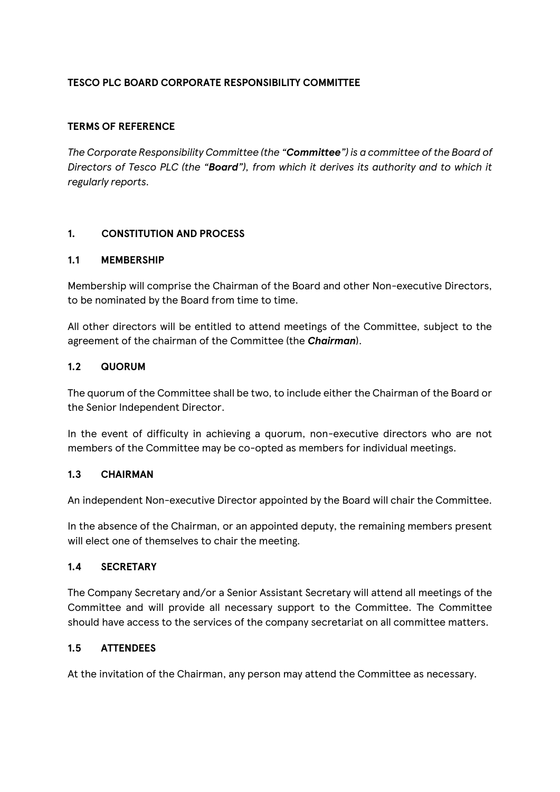# **TESCO PLC BOARD CORPORATE RESPONSIBILITY COMMITTEE**

## **TERMS OF REFERENCE**

*The Corporate Responsibility Committee (the "Committee") is a committee of the Board of Directors of Tesco PLC (the "Board"), from which it derives its authority and to which it regularly reports.* 

## **1. CONSTITUTION AND PROCESS**

#### **1.1 MEMBERSHIP**

Membership will comprise the Chairman of the Board and other Non-executive Directors, to be nominated by the Board from time to time.

All other directors will be entitled to attend meetings of the Committee, subject to the agreement of the chairman of the Committee (the *Chairman*).

## **1.2 QUORUM**

The quorum of the Committee shall be two, to include either the Chairman of the Board or the Senior Independent Director.

In the event of difficulty in achieving a quorum, non-executive directors who are not members of the Committee may be co-opted as members for individual meetings.

#### **1.3 CHAIRMAN**

An independent Non-executive Director appointed by the Board will chair the Committee.

In the absence of the Chairman, or an appointed deputy, the remaining members present will elect one of themselves to chair the meeting.

#### **1.4 SECRETARY**

The Company Secretary and/or a Senior Assistant Secretary will attend all meetings of the Committee and will provide all necessary support to the Committee. The Committee should have access to the services of the company secretariat on all committee matters.

# **1.5 ATTENDEES**

At the invitation of the Chairman, any person may attend the Committee as necessary.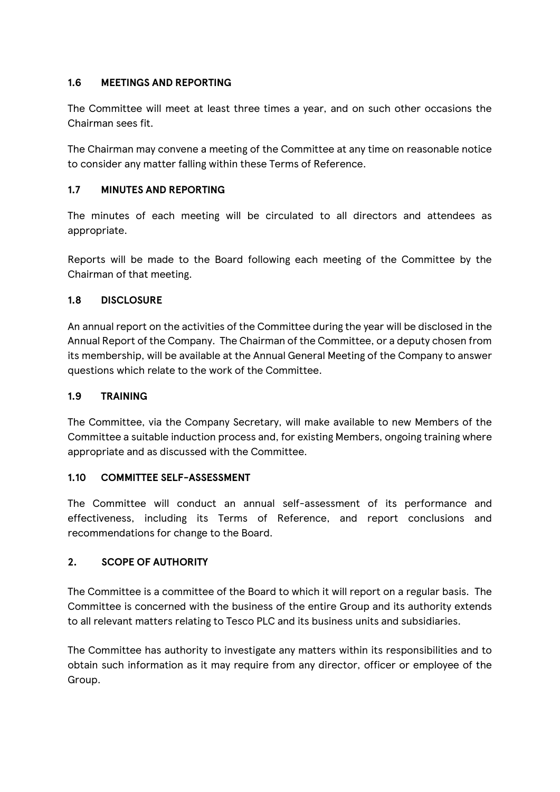# **1.6 MEETINGS AND REPORTING**

The Committee will meet at least three times a year, and on such other occasions the Chairman sees fit.

The Chairman may convene a meeting of the Committee at any time on reasonable notice to consider any matter falling within these Terms of Reference.

## **1.7 MINUTES AND REPORTING**

The minutes of each meeting will be circulated to all directors and attendees as appropriate.

Reports will be made to the Board following each meeting of the Committee by the Chairman of that meeting.

## **1.8 DISCLOSURE**

An annual report on the activities of the Committee during the year will be disclosed in the Annual Report of the Company. The Chairman of the Committee, or a deputy chosen from its membership, will be available at the Annual General Meeting of the Company to answer questions which relate to the work of the Committee.

#### **1.9 TRAINING**

The Committee, via the Company Secretary, will make available to new Members of the Committee a suitable induction process and, for existing Members, ongoing training where appropriate and as discussed with the Committee.

#### **1.10 COMMITTEE SELF-ASSESSMENT**

The Committee will conduct an annual self-assessment of its performance and effectiveness, including its Terms of Reference, and report conclusions and recommendations for change to the Board.

# **2. SCOPE OF AUTHORITY**

The Committee is a committee of the Board to which it will report on a regular basis. The Committee is concerned with the business of the entire Group and its authority extends to all relevant matters relating to Tesco PLC and its business units and subsidiaries.

The Committee has authority to investigate any matters within its responsibilities and to obtain such information as it may require from any director, officer or employee of the Group.